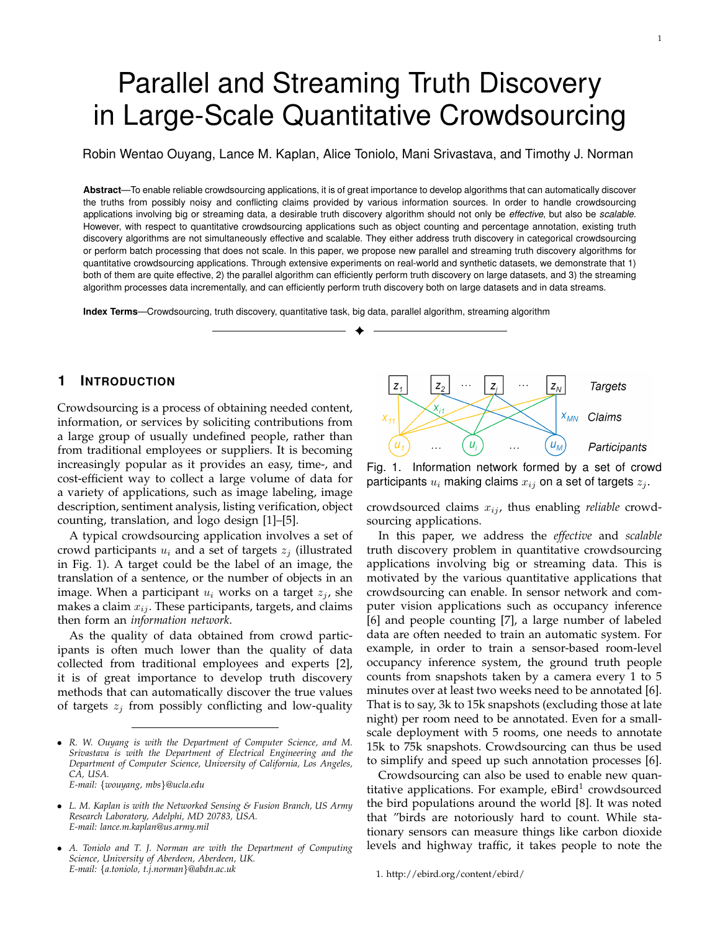# Parallel and Streaming Truth Discovery in Large-Scale Quantitative Crowdsourcing

Robin Wentao Ouyang, Lance M. Kaplan, Alice Toniolo, Mani Srivastava, and Timothy J. Norman

**Abstract**—To enable reliable crowdsourcing applications, it is of great importance to develop algorithms that can automatically discover the truths from possibly noisy and conflicting claims provided by various information sources. In order to handle crowdsourcing applications involving big or streaming data, a desirable truth discovery algorithm should not only be *effective*, but also be *scalable*. However, with respect to quantitative crowdsourcing applications such as object counting and percentage annotation, existing truth discovery algorithms are not simultaneously effective and scalable. They either address truth discovery in categorical crowdsourcing or perform batch processing that does not scale. In this paper, we propose new parallel and streaming truth discovery algorithms for quantitative crowdsourcing applications. Through extensive experiments on real-world and synthetic datasets, we demonstrate that 1) both of them are quite effective, 2) the parallel algorithm can efficiently perform truth discovery on large datasets, and 3) the streaming algorithm processes data incrementally, and can efficiently perform truth discovery both on large datasets and in data streams.

✦

**Index Terms**—Crowdsourcing, truth discovery, quantitative task, big data, parallel algorithm, streaming algorithm

# **1 INTRODUCTION**

Crowdsourcing is a process of obtaining needed content, information, or services by soliciting contributions from a large group of usually undefined people, rather than from traditional employees or suppliers. It is becoming increasingly popular as it provides an easy, time-, and cost-efficient way to collect a large volume of data for a variety of applications, such as image labeling, image description, sentiment analysis, listing verification, object counting, translation, and logo design [1]–[5].

A typical crowdsourcing application involves a set of crowd participants  $u_i$  and a set of targets  $z_i$  (illustrated in Fig. 1). A target could be the label of an image, the translation of a sentence, or the number of objects in an image. When a participant  $u_i$  works on a target  $z_i$ , she makes a claim  $x_{ij}$ . These participants, targets, and claims then form an *information network*.

As the quality of data obtained from crowd participants is often much lower than the quality of data collected from traditional employees and experts [2], it is of great importance to develop truth discovery methods that can automatically discover the true values of targets  $z_i$  from possibly conflicting and low-quality



Fig. 1. Information network formed by a set of crowd participants  $u_i$  making claims  $x_{ij}$  on a set of targets  $z_j$ .

crowdsourced claims  $x_{ij}$ , thus enabling *reliable* crowdsourcing applications.

In this paper, we address the *effective* and *scalable* truth discovery problem in quantitative crowdsourcing applications involving big or streaming data. This is motivated by the various quantitative applications that crowdsourcing can enable. In sensor network and computer vision applications such as occupancy inference [6] and people counting [7], a large number of labeled data are often needed to train an automatic system. For example, in order to train a sensor-based room-level occupancy inference system, the ground truth people counts from snapshots taken by a camera every 1 to 5 minutes over at least two weeks need to be annotated [6]. That is to say, 3k to 15k snapshots (excluding those at late night) per room need to be annotated. Even for a smallscale deployment with 5 rooms, one needs to annotate 15k to 75k snapshots. Crowdsourcing can thus be used to simplify and speed up such annotation processes [6].

Crowdsourcing can also be used to enable new quantitative applications. For example,  $eBird<sup>1</sup>$  crowdsourced the bird populations around the world [8]. It was noted that "birds are notoriously hard to count. While stationary sensors can measure things like carbon dioxide levels and highway traffic, it takes people to note the

<sup>•</sup> *R. W. Ouyang is with the Department of Computer Science, and M. Srivastava is with the Department of Electrical Engineering and the Department of Computer Science, University of California, Los Angeles, CA, USA. E-mail:* {*wouyang, mbs*}*@ucla.edu*

<sup>•</sup> *L. M. Kaplan is with the Networked Sensing & Fusion Branch, US Army Research Laboratory, Adelphi, MD 20783, USA. E-mail: lance.m.kaplan@us.army.mil*

<sup>•</sup> *A. Toniolo and T. J. Norman are with the Department of Computing Science, University of Aberdeen, Aberdeen, UK. E-mail:* {*a.toniolo, t.j.norman*}*@abdn.ac.uk*

<sup>1.</sup> http://ebird.org/content/ebird/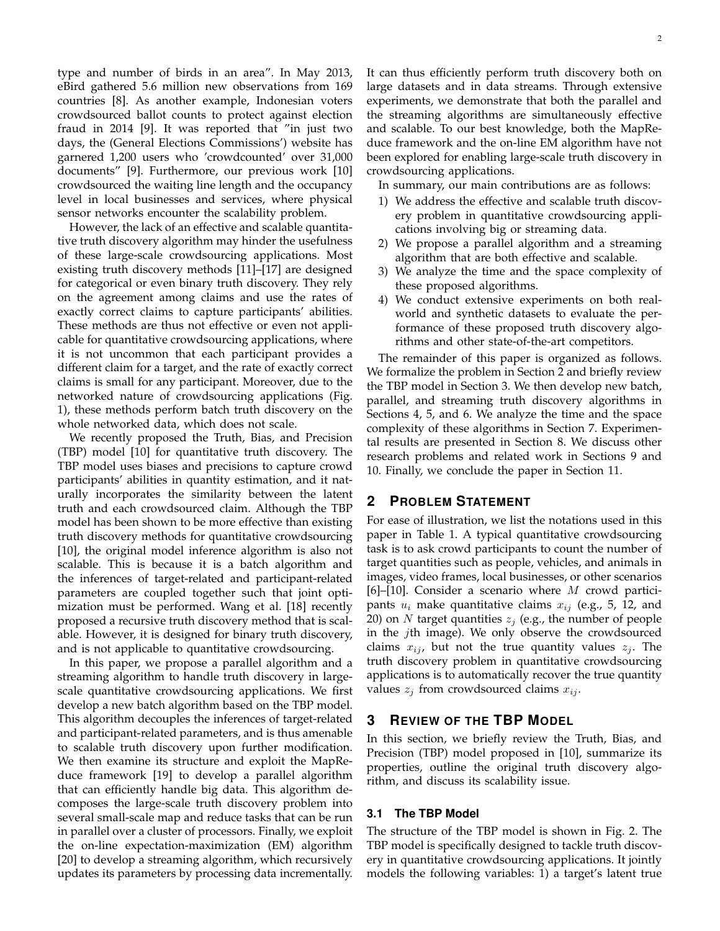type and number of birds in an area". In May 2013, eBird gathered 5.6 million new observations from 169 countries [8]. As another example, Indonesian voters crowdsourced ballot counts to protect against election fraud in 2014 [9]. It was reported that "in just two days, the (General Elections Commissions') website has garnered 1,200 users who 'crowdcounted' over 31,000 documents" [9]. Furthermore, our previous work [10] crowdsourced the waiting line length and the occupancy level in local businesses and services, where physical sensor networks encounter the scalability problem.

However, the lack of an effective and scalable quantitative truth discovery algorithm may hinder the usefulness of these large-scale crowdsourcing applications. Most existing truth discovery methods [11]–[17] are designed for categorical or even binary truth discovery. They rely on the agreement among claims and use the rates of exactly correct claims to capture participants' abilities. These methods are thus not effective or even not applicable for quantitative crowdsourcing applications, where it is not uncommon that each participant provides a different claim for a target, and the rate of exactly correct claims is small for any participant. Moreover, due to the networked nature of crowdsourcing applications (Fig. 1), these methods perform batch truth discovery on the whole networked data, which does not scale.

We recently proposed the Truth, Bias, and Precision (TBP) model [10] for quantitative truth discovery. The TBP model uses biases and precisions to capture crowd participants' abilities in quantity estimation, and it naturally incorporates the similarity between the latent truth and each crowdsourced claim. Although the TBP model has been shown to be more effective than existing truth discovery methods for quantitative crowdsourcing [10], the original model inference algorithm is also not scalable. This is because it is a batch algorithm and the inferences of target-related and participant-related parameters are coupled together such that joint optimization must be performed. Wang et al. [18] recently proposed a recursive truth discovery method that is scalable. However, it is designed for binary truth discovery, and is not applicable to quantitative crowdsourcing.

In this paper, we propose a parallel algorithm and a streaming algorithm to handle truth discovery in largescale quantitative crowdsourcing applications. We first develop a new batch algorithm based on the TBP model. This algorithm decouples the inferences of target-related and participant-related parameters, and is thus amenable to scalable truth discovery upon further modification. We then examine its structure and exploit the MapReduce framework [19] to develop a parallel algorithm that can efficiently handle big data. This algorithm decomposes the large-scale truth discovery problem into several small-scale map and reduce tasks that can be run in parallel over a cluster of processors. Finally, we exploit the on-line expectation-maximization (EM) algorithm [20] to develop a streaming algorithm, which recursively updates its parameters by processing data incrementally.

It can thus efficiently perform truth discovery both on large datasets and in data streams. Through extensive experiments, we demonstrate that both the parallel and the streaming algorithms are simultaneously effective and scalable. To our best knowledge, both the MapReduce framework and the on-line EM algorithm have not been explored for enabling large-scale truth discovery in crowdsourcing applications.

In summary, our main contributions are as follows:

- 1) We address the effective and scalable truth discovery problem in quantitative crowdsourcing applications involving big or streaming data.
- 2) We propose a parallel algorithm and a streaming algorithm that are both effective and scalable.
- 3) We analyze the time and the space complexity of these proposed algorithms.
- 4) We conduct extensive experiments on both realworld and synthetic datasets to evaluate the performance of these proposed truth discovery algorithms and other state-of-the-art competitors.

The remainder of this paper is organized as follows. We formalize the problem in Section 2 and briefly review the TBP model in Section 3. We then develop new batch, parallel, and streaming truth discovery algorithms in Sections 4, 5, and 6. We analyze the time and the space complexity of these algorithms in Section 7. Experimental results are presented in Section 8. We discuss other research problems and related work in Sections 9 and 10. Finally, we conclude the paper in Section 11.

# **2 PROBLEM STATEMENT**

For ease of illustration, we list the notations used in this paper in Table 1. A typical quantitative crowdsourcing task is to ask crowd participants to count the number of target quantities such as people, vehicles, and animals in images, video frames, local businesses, or other scenarios [6]–[10]. Consider a scenario where  $M$  crowd participants  $u_i$  make quantitative claims  $x_{ij}$  (e.g., 5, 12, and 20) on N target quantities  $z_i$  (e.g., the number of people in the  $j$ th image). We only observe the crowdsourced claims  $x_{ij}$ , but not the true quantity values  $z_i$ . The truth discovery problem in quantitative crowdsourcing applications is to automatically recover the true quantity values  $z_j$  from crowdsourced claims  $x_{ij}$ .

# **3 REVIEW OF THE TBP MODEL**

In this section, we briefly review the Truth, Bias, and Precision (TBP) model proposed in [10], summarize its properties, outline the original truth discovery algorithm, and discuss its scalability issue.

## **3.1 The TBP Model**

The structure of the TBP model is shown in Fig. 2. The TBP model is specifically designed to tackle truth discovery in quantitative crowdsourcing applications. It jointly models the following variables: 1) a target's latent true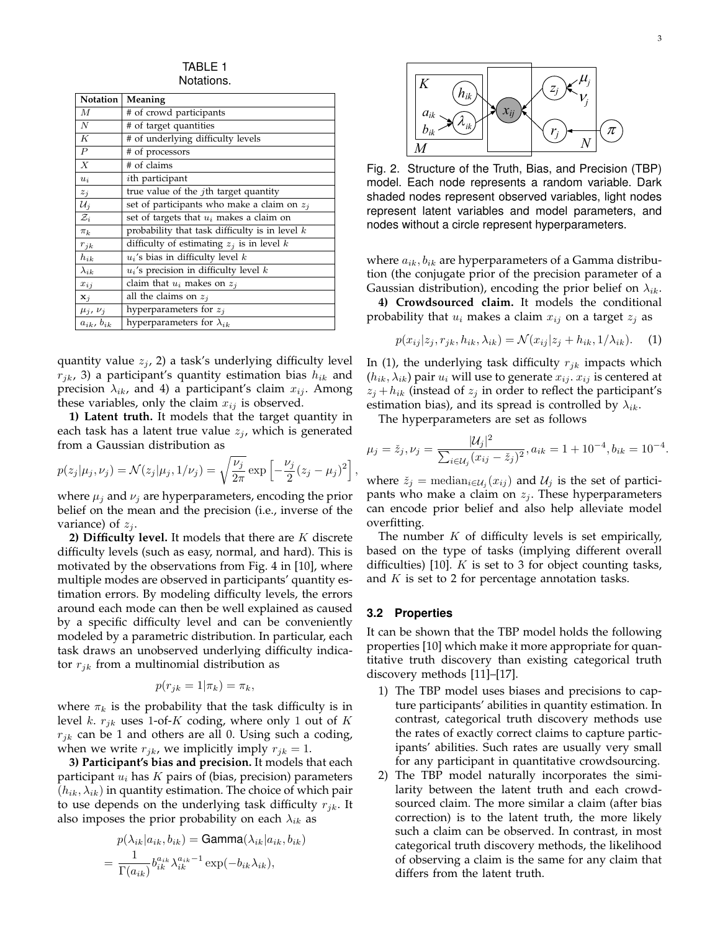TABLE 1 Notations.

| <b>Notation</b>  | Meaning                                          |
|------------------|--------------------------------------------------|
| М                | # of crowd participants                          |
| N                | # of target quantities                           |
| K                | # of underlying difficulty levels                |
| $\overline{P}$   | # of processors                                  |
| X                | # of claims                                      |
| $u_i$            | <i>i</i> th participant                          |
| $z_j$            | true value of the $j$ th target quantity         |
| $\mathcal{U}_i$  | set of participants who make a claim on $z_i$    |
| $\mathcal{Z}_i$  | set of targets that $u_i$ makes a claim on       |
| $\pi_k$          | probability that task difficulty is in level $k$ |
| $r_{jk}$         | difficulty of estimating $z_i$ is in level k     |
| $h_{ik}$         | $u_i$ 's bias in difficulty level $k$            |
| $\lambda_{ik}$   | $u_i$ 's precision in difficulty level $k$       |
| $x_{ij}$         | claim that $u_i$ makes on $z_i$                  |
| $\mathbf{x}_i$   | all the claims on $z_i$                          |
| $\mu_j, \nu_j$   | hyperparameters for $z_i$                        |
| $a_{ik}, b_{ik}$ | hyperparameters for $\lambda_{ik}$               |

quantity value  $z_j$ , 2) a task's underlying difficulty level  $r_{jk}$ , 3) a participant's quantity estimation bias  $h_{ik}$  and precision  $\lambda_{ik}$ , and 4) a participant's claim  $x_{ij}$ . Among these variables, only the claim  $x_{ij}$  is observed.

**1) Latent truth.** It models that the target quantity in each task has a latent true value  $z_j$ , which is generated from a Gaussian distribution as

$$
p(z_j|\mu_j, \nu_j) = \mathcal{N}(z_j|\mu_j, 1/\nu_j) = \sqrt{\frac{\nu_j}{2\pi}} \exp\left[-\frac{\nu_j}{2}(z_j - \mu_j)^2\right]
$$

where  $\mu_j$  and  $\nu_j$  are hyperparameters, encoding the prior belief on the mean and the precision (i.e., inverse of the variance) of  $z_i$ .

**2) Difficulty level.** It models that there are K discrete difficulty levels (such as easy, normal, and hard). This is motivated by the observations from Fig. 4 in [10], where multiple modes are observed in participants' quantity estimation errors. By modeling difficulty levels, the errors around each mode can then be well explained as caused by a specific difficulty level and can be conveniently modeled by a parametric distribution. In particular, each task draws an unobserved underlying difficulty indicator  $r_{jk}$  from a multinomial distribution as

$$
p(r_{jk}=1|\pi_k)=\pi_k,
$$

where  $\pi_k$  is the probability that the task difficulty is in level k.  $r_{jk}$  uses 1-of-K coding, where only 1 out of K  $r_{jk}$  can be 1 and others are all 0. Using such a coding, when we write  $r_{jk}$ , we implicitly imply  $r_{jk} = 1$ .

**3) Participant's bias and precision.** It models that each participant  $u_i$  has K pairs of (bias, precision) parameters  $(h_{ik}, \lambda_{ik})$  in quantity estimation. The choice of which pair to use depends on the underlying task difficulty  $r_{ik}$ . It also imposes the prior probability on each  $\lambda_{ik}$  as

$$
p(\lambda_{ik}|a_{ik}, b_{ik}) = \text{Gamma}(\lambda_{ik}|a_{ik}, b_{ik})
$$

$$
= \frac{1}{\Gamma(a_{ik})} b_{ik}^{a_{ik}} \lambda_{ik}^{a_{ik}-1} \exp(-b_{ik}\lambda_{ik}),
$$



Fig. 2. Structure of the Truth, Bias, and Precision (TBP) model. Each node represents a random variable. Dark shaded nodes represent observed variables, light nodes represent latent variables and model parameters, and nodes without a circle represent hyperparameters.

where  $a_{ik}$ ,  $b_{ik}$  are hyperparameters of a Gamma distribution (the conjugate prior of the precision parameter of a Gaussian distribution), encoding the prior belief on  $\lambda_{ik}$ .

**4) Crowdsourced claim.** It models the conditional probability that  $u_i$  makes a claim  $x_{ij}$  on a target  $z_i$  as

$$
p(x_{ij}|z_j, r_{jk}, h_{ik}, \lambda_{ik}) = \mathcal{N}(x_{ij}|z_j + h_{ik}, 1/\lambda_{ik}).
$$
 (1)

In (1), the underlying task difficulty  $r_{jk}$  impacts which  $(h_{ik}, \lambda_{ik})$  pair  $u_i$  will use to generate  $x_{ij}$ .  $x_{ij}$  is centered at  $z_j + h_{ik}$  (instead of  $z_j$  in order to reflect the participant's estimation bias), and its spread is controlled by  $\lambda_{ik}$ .

The hyperparameters are set as follows

$$
\mu_j = \check{z}_j, \nu_j = \frac{|\mathcal{U}_j|^2}{\sum_{i \in \mathcal{U}_j} (x_{ij} - \check{z}_j)^2}, a_{ik} = 1 + 10^{-4}, b_{ik} = 10^{-4}.
$$

where  $\check{z}_j = \text{median}_{i \in \mathcal{U}_j}(x_{ij})$  and  $\mathcal{U}_j$  is the set of participants who make a claim on  $z_i$ . These hyperparameters can encode prior belief and also help alleviate model overfitting.

The number  $K$  of difficulty levels is set empirically, based on the type of tasks (implying different overall difficulties) [10].  $K$  is set to 3 for object counting tasks, and  $K$  is set to 2 for percentage annotation tasks.

#### **3.2 Properties**

,

It can be shown that the TBP model holds the following properties [10] which make it more appropriate for quantitative truth discovery than existing categorical truth discovery methods [11]–[17].

- 1) The TBP model uses biases and precisions to capture participants' abilities in quantity estimation. In contrast, categorical truth discovery methods use the rates of exactly correct claims to capture participants' abilities. Such rates are usually very small for any participant in quantitative crowdsourcing.
- 2) The TBP model naturally incorporates the similarity between the latent truth and each crowdsourced claim. The more similar a claim (after bias correction) is to the latent truth, the more likely such a claim can be observed. In contrast, in most categorical truth discovery methods, the likelihood of observing a claim is the same for any claim that differs from the latent truth.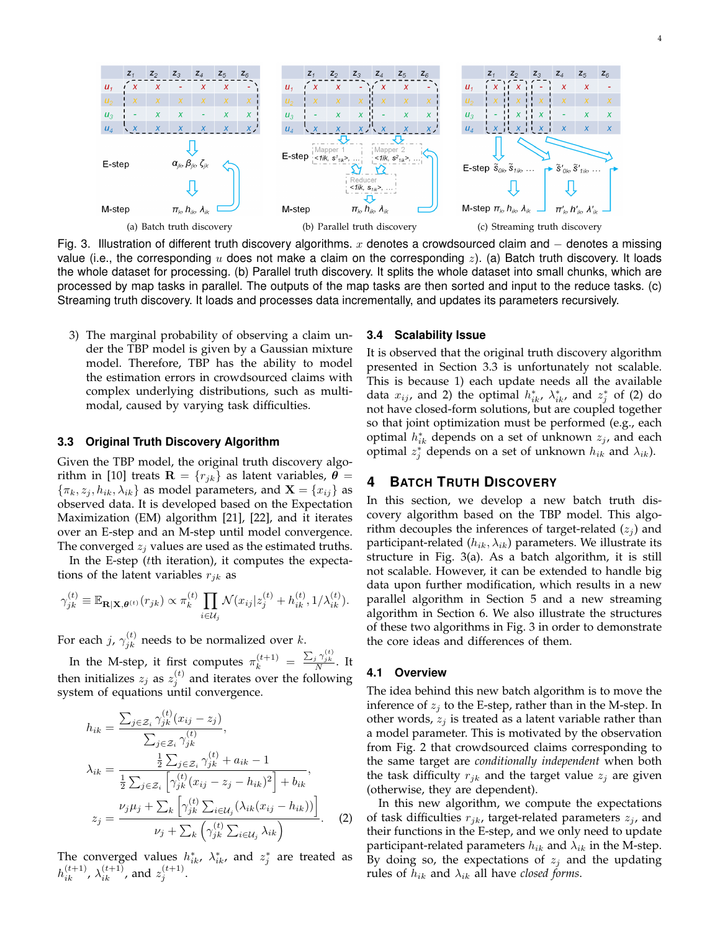

Fig. 3. Illustration of different truth discovery algorithms. x denotes a crowdsourced claim and – denotes a missing value (i.e., the corresponding u does not make a claim on the corresponding  $z$ ). (a) Batch truth discovery. It loads the whole dataset for processing. (b) Parallel truth discovery. It splits the whole dataset into small chunks, which are processed by map tasks in parallel. The outputs of the map tasks are then sorted and input to the reduce tasks. (c) Streaming truth discovery. It loads and processes data incrementally, and updates its parameters recursively.

3) The marginal probability of observing a claim under the TBP model is given by a Gaussian mixture model. Therefore, TBP has the ability to model the estimation errors in crowdsourced claims with complex underlying distributions, such as multimodal, caused by varying task difficulties.

#### **3.3 Original Truth Discovery Algorithm**

Given the TBP model, the original truth discovery algorithm in [10] treats  $\mathbf{R} = \{r_{jk}\}\$ as latent variables,  $\boldsymbol{\theta} =$  $\{\pi_k, z_j, h_{ik}, \lambda_{ik}\}\$ as model parameters, and  $\mathbf{X} = \{x_{ij}\}\$ as observed data. It is developed based on the Expectation Maximization (EM) algorithm [21], [22], and it iterates over an E-step and an M-step until model convergence. The converged  $z_j$  values are used as the estimated truths.

In the E-step (tth iteration), it computes the expectations of the latent variables  $r_{jk}$  as

$$
\gamma_{jk}^{(t)} \equiv \mathbb{E}_{\mathbf{R}|\mathbf{X},\theta^{(t)}}(r_{jk}) \propto \pi_k^{(t)} \prod_{i \in \mathcal{U}_j} \mathcal{N}(x_{ij}|z_j^{(t)} + h_{ik}^{(t)}, 1/\lambda_{ik}^{(t)}).
$$

For each  $j$ ,  $\gamma^{(t)}_{jk}$  needs to be normalized over  $k.$ 

In the M-step, it first computes  $\pi_k^{(t+1)} = \frac{\sum_j \gamma_{jk}^{(t)}}{N}$ . It then initializes  $z_j$  as  $z_j^{(t)}$  and iterates over the following system of equations until convergence.

$$
h_{ik} = \frac{\sum_{j \in \mathcal{Z}_i} \gamma_{jk}^{(t)} (x_{ij} - z_j)}{\sum_{j \in \mathcal{Z}_i} \gamma_{jk}^{(t)}},
$$
  
\n
$$
\lambda_{ik} = \frac{\frac{1}{2} \sum_{j \in \mathcal{Z}_i} \gamma_{jk}^{(t)} + a_{ik} - 1}{\frac{1}{2} \sum_{j \in \mathcal{Z}_i} \left[ \gamma_{jk}^{(t)} (x_{ij} - z_j - h_{ik})^2 \right] + b_{ik}},
$$
  
\n
$$
z_j = \frac{\nu_j \mu_j + \sum_k \left[ \gamma_{jk}^{(t)} \sum_{i \in \mathcal{U}_j} (\lambda_{ik} (x_{ij} - h_{ik})) \right]}{\nu_j + \sum_k \left( \gamma_{jk}^{(t)} \sum_{i \in \mathcal{U}_j} \lambda_{ik} \right)}.
$$
 (2)

The converged values  $h_{ik}^*$ ,  $\lambda_{ik}^*$ , and  $z_j^*$  are treated as  $h_{ik}^{(t+1)}$ ,  $\lambda_{ik}^{(t+1)}$ , and  $z_j^{(t+1)}$ .

#### **3.4 Scalability Issue**

It is observed that the original truth discovery algorithm presented in Section 3.3 is unfortunately not scalable. This is because 1) each update needs all the available data  $x_{ij}$ , and 2) the optimal  $h_{ik}^*$ ,  $\lambda_{ik}^*$ , and  $z_j^*$  of (2) do not have closed-form solutions, but are coupled together so that joint optimization must be performed (e.g., each optimal  $h_{ik}^*$  depends on a set of unknown  $z_j$ , and each optimal  $z_j^*$  depends on a set of unknown  $h_{ik}$  and  $\lambda_{ik}$ ).

# **4 BATCH TRUTH DISCOVERY**

In this section, we develop a new batch truth discovery algorithm based on the TBP model. This algorithm decouples the inferences of target-related  $(z_j)$  and participant-related  $(h_{ik}, \lambda_{ik})$  parameters. We illustrate its structure in Fig. 3(a). As a batch algorithm, it is still not scalable. However, it can be extended to handle big data upon further modification, which results in a new parallel algorithm in Section 5 and a new streaming algorithm in Section 6. We also illustrate the structures of these two algorithms in Fig. 3 in order to demonstrate the core ideas and differences of them.

## **4.1 Overview**

The idea behind this new batch algorithm is to move the inference of  $z_i$  to the E-step, rather than in the M-step. In other words,  $z_j$  is treated as a latent variable rather than a model parameter. This is motivated by the observation from Fig. 2 that crowdsourced claims corresponding to the same target are *conditionally independent* when both the task difficulty  $r_{jk}$  and the target value  $z_j$  are given (otherwise, they are dependent).

In this new algorithm, we compute the expectations of task difficulties  $r_{jk}$ , target-related parameters  $z_j$ , and their functions in the E-step, and we only need to update participant-related parameters  $h_{ik}$  and  $\lambda_{ik}$  in the M-step. By doing so, the expectations of  $z_i$  and the updating rules of  $h_{ik}$  and  $\lambda_{ik}$  all have *closed forms*.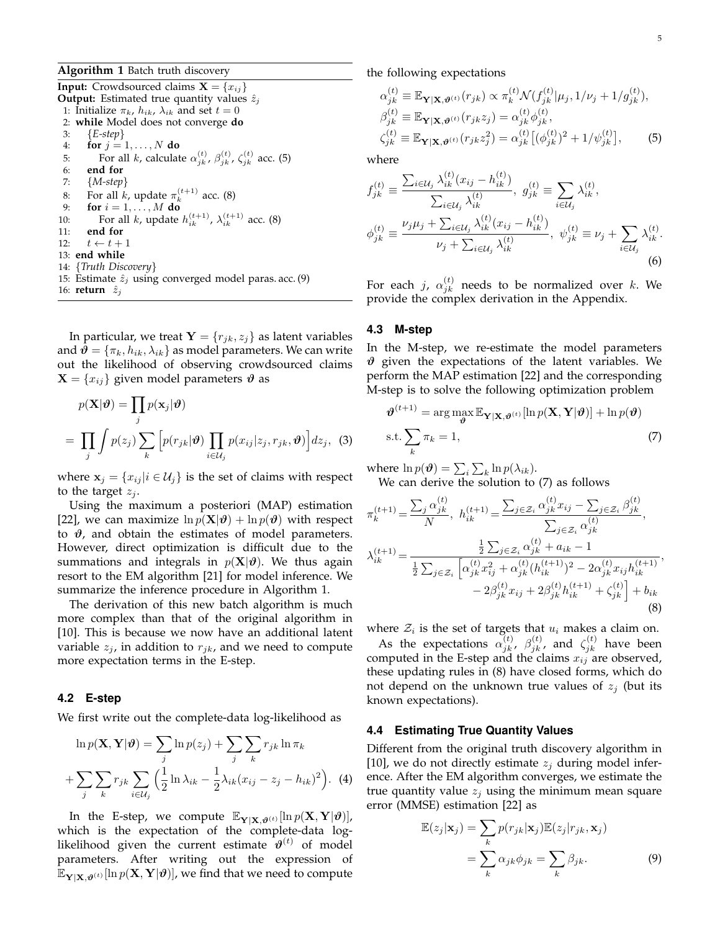#### **Algorithm 1** Batch truth discovery

**Input:** Crowdsourced claims  $X = \{x_{ij}\}$ **Output:** Estimated true quantity values  $\hat{z}_i$ 1: Initialize  $\pi_k$ ,  $h_{ik}$ ,  $\lambda_{ik}$  and set  $t = 0$ 2: **while** Model does not converge **do** 3: {*E-step*} 4: **for**  $j = 1, ..., N$  **do** 5: For all k, calculate  $\alpha_{jk}^{(t)}$ ,  $\beta_{jk}^{(t)}$ ,  $\zeta_{jk}^{(t)}$  acc. (5) 6: **end for** 7: {*M-step*} 8: For all  $k$ , update  $\pi_k^{(t+1)}$  acc. (8) 9: **for**  $i = 1, ..., M$  **do** 10: For all k, update  $h_{ik}^{(t+1)}$ ,  $\lambda_{ik}^{(t+1)}$  acc. (8) 11: **end for** 12:  $t \leftarrow t + 1$ 13: **end while** 14: {*Truth Discovery*} 15: Estimate  $\hat{z}_j$  using converged model paras. acc. (9) 16: **return**  $\hat{z}_j$ 

In particular, we treat  $\mathbf{Y} = \{r_{jk}, z_j\}$  as latent variables and  $\boldsymbol{\vartheta} = {\pi_k, h_{ik}, \lambda_{ik}}$  as model parameters. We can write out the likelihood of observing crowdsourced claims  $\mathbf{X} = \{x_{ij}\}\$  given model parameters  $\boldsymbol{\vartheta}$  as

$$
p(\mathbf{X}|\boldsymbol{\vartheta}) = \prod_{j} p(\mathbf{x}_{j}|\boldsymbol{\vartheta})
$$

$$
= \prod_{j} \int p(z_{j}) \sum_{k} \left[ p(r_{jk}|\boldsymbol{\vartheta}) \prod_{i \in \mathcal{U}_{j}} p(x_{ij}|z_{j}, r_{jk}, \boldsymbol{\vartheta}) \right] dz_{j}, \quad (3)
$$

where  $\mathbf{x}_j = \{x_{ij} | i \in \mathcal{U}_j\}$  is the set of claims with respect to the target  $z_i$ .

Using the maximum a posteriori (MAP) estimation [22], we can maximize  $\ln p(\mathbf{X}|\boldsymbol{\theta}) + \ln p(\boldsymbol{\theta})$  with respect to  $\vartheta$ , and obtain the estimates of model parameters. However, direct optimization is difficult due to the summations and integrals in  $p(X|\theta)$ . We thus again resort to the EM algorithm [21] for model inference. We summarize the inference procedure in Algorithm 1.

The derivation of this new batch algorithm is much more complex than that of the original algorithm in [10]. This is because we now have an additional latent variable  $z_i$ , in addition to  $r_{ik}$ , and we need to compute more expectation terms in the E-step.

# **4.2 E-step**

We first write out the complete-data log-likelihood as

$$
\ln p(\mathbf{X}, \mathbf{Y} | \boldsymbol{\vartheta}) = \sum_{j} \ln p(z_j) + \sum_{j} \sum_{k} r_{jk} \ln \pi_k
$$

$$
+ \sum_{j} \sum_{k} r_{jk} \sum_{i \in \mathcal{U}_j} \left(\frac{1}{2} \ln \lambda_{ik} - \frac{1}{2} \lambda_{ik} (x_{ij} - z_j - h_{ik})^2\right). \tag{4}
$$

In the E-step, we compute  $\mathbb{E}_{\mathbf{Y}|\mathbf{X},\boldsymbol{\vartheta}^{(t)}}[\ln p(\mathbf{X},\mathbf{Y}|\boldsymbol{\vartheta})],$ which is the expectation of the complete-data loglikelihood given the current estimate  $\theta^{(t)}$  of model parameters. After writing out the expression of  $\mathbb{E}_{\mathbf{Y}|\mathbf{X},\boldsymbol{\vartheta}^{(t)}}[\ln p(\mathbf{X},\mathbf{Y}|\boldsymbol{\vartheta})],$  we find that we need to compute the following expectations

$$
\alpha_{jk}^{(t)} \equiv \mathbb{E}_{\mathbf{Y}|\mathbf{X},\boldsymbol{\vartheta}^{(t)}}(r_{jk}) \propto \pi_k^{(t)} \mathcal{N}(f_{jk}^{(t)}|\mu_j, 1/\nu_j + 1/g_{jk}^{(t)}),
$$
  
\n
$$
\beta_{jk}^{(t)} \equiv \mathbb{E}_{\mathbf{Y}|\mathbf{X},\boldsymbol{\vartheta}^{(t)}}(r_{jk}z_j) = \alpha_{jk}^{(t)} \phi_{jk}^{(t)},
$$
  
\n
$$
\zeta_{jk}^{(t)} \equiv \mathbb{E}_{\mathbf{Y}|\mathbf{X},\boldsymbol{\vartheta}^{(t)}}(r_{jk}z_j^2) = \alpha_{jk}^{(t)}[(\phi_{jk}^{(t)})^2 + 1/\psi_{jk}^{(t)}],
$$
\n(5)

where

$$
f_{jk}^{(t)} \equiv \frac{\sum_{i \in \mathcal{U}_j} \lambda_{ik}^{(t)} (x_{ij} - h_{ik}^{(t)})}{\sum_{i \in \mathcal{U}_j} \lambda_{ik}^{(t)}}, \ g_{jk}^{(t)} \equiv \sum_{i \in \mathcal{U}_j} \lambda_{ik}^{(t)},
$$

$$
\phi_{jk}^{(t)} \equiv \frac{\nu_j \mu_j + \sum_{i \in \mathcal{U}_j} \lambda_{ik}^{(t)} (x_{ij} - h_{ik}^{(t)})}{\nu_j + \sum_{i \in \mathcal{U}_j} \lambda_{ik}^{(t)}}, \ \psi_{jk}^{(t)} \equiv \nu_j + \sum_{i \in \mathcal{U}_j} \lambda_{ik}^{(t)}.
$$
(6)

For each  $j$ ,  $\alpha_{jk}^{(t)}$  needs to be normalized over  $k$ . We provide the complex derivation in the Appendix.

# **4.3 M-step**

In the M-step, we re-estimate the model parameters  $\vartheta$  given the expectations of the latent variables. We perform the MAP estimation [22] and the corresponding M-step is to solve the following optimization problem

$$
\boldsymbol{\vartheta}^{(t+1)} = \arg \max_{\boldsymbol{\vartheta}} \mathbb{E}_{\mathbf{Y}|\mathbf{X},\boldsymbol{\vartheta}^{(t)}} [\ln p(\mathbf{X}, \mathbf{Y}|\boldsymbol{\vartheta})] + \ln p(\boldsymbol{\vartheta})
$$
  
s.t. 
$$
\sum_{k} \pi_k = 1,
$$
 (7)

where  $\ln p(\boldsymbol{\vartheta}) = \sum_{i} \sum_{k} \ln p(\lambda_{ik}).$ 

We can derive the solution to (7) as follows

$$
\pi_k^{(t+1)} = \frac{\sum_j \alpha_{jk}^{(t)}}{N}, \ \ h_{ik}^{(t+1)} = \frac{\sum_{j \in \mathcal{Z}_i} \alpha_{jk}^{(t)} x_{ij} - \sum_{j \in \mathcal{Z}_i} \beta_{jk}^{(t)}}{\sum_{j \in \mathcal{Z}_i} \alpha_{jk}^{(t)}} ,
$$
\n
$$
\lambda_{ik}^{(t+1)} = \frac{\frac{1}{2} \sum_{j \in \mathcal{Z}_i} \alpha_{jk}^{(t)} + a_{ik} - 1}{\frac{1}{2} \sum_{j \in \mathcal{Z}_i} \left[ \alpha_{jk}^{(t)} x_{ij}^2 + \alpha_{jk}^{(t)} (h_{ik}^{(t+1)})^2 - 2\alpha_{jk}^{(t)} x_{ij} h_{ik}^{(t+1)}} - 2\beta_{jk}^{(t)} x_{ij} + 2\beta_{jk}^{(t)} h_{ik}^{(t+1)} + \zeta_{jk}^{(t)} \right] + b_{ik}
$$
\n
$$
(8)
$$

where  $\mathcal{Z}_i$  is the set of targets that  $u_i$  makes a claim on.

As the expectations  $\alpha_{jk}^{(t)}$ ,  $\beta_{jk}^{(t)}$ , and  $\zeta_{jk}^{(t)}$  have been computed in the E-step and the claims  $x_{ij}$  are observed, these updating rules in (8) have closed forms, which do not depend on the unknown true values of  $z_i$  (but its known expectations).

# **4.4 Estimating True Quantity Values**

Different from the original truth discovery algorithm in [10], we do not directly estimate  $z_i$  during model inference. After the EM algorithm converges, we estimate the true quantity value  $z_i$  using the minimum mean square error (MMSE) estimation [22] as

$$
\mathbb{E}(z_j|\mathbf{x}_j) = \sum_k p(r_{jk}|\mathbf{x}_j) \mathbb{E}(z_j|r_{jk}, \mathbf{x}_j)
$$
  
= 
$$
\sum_k \alpha_{jk} \phi_{jk} = \sum_k \beta_{jk}.
$$
 (9)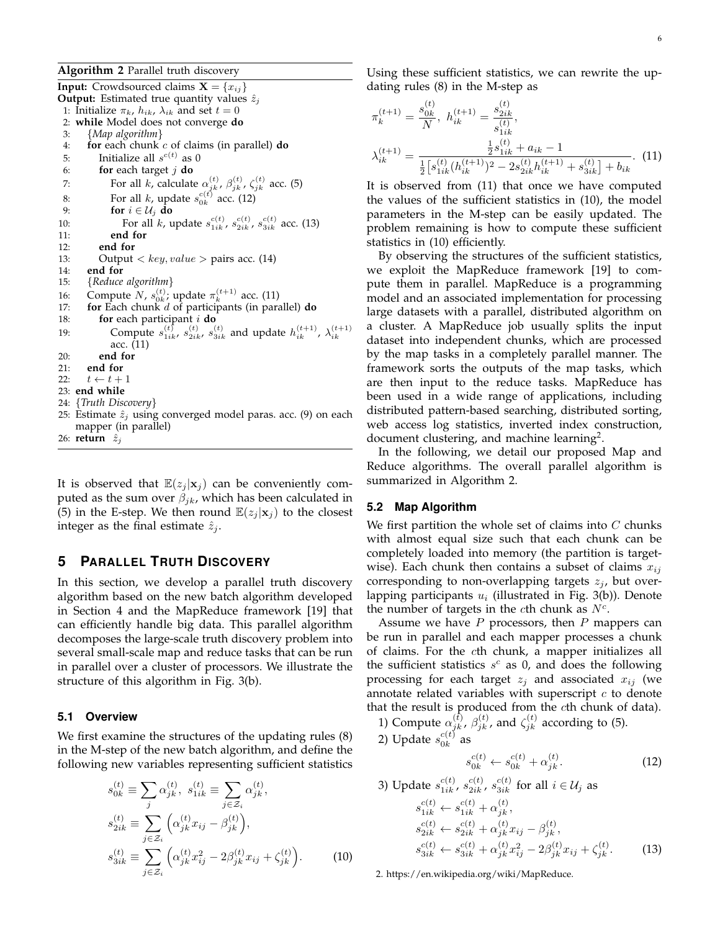#### **Algorithm 2** Parallel truth discovery

**Input:** Crowdsourced claims  $X = \{x_{ij}\}$ **Output:** Estimated true quantity values  $\hat{z}_i$ 1: Initialize  $\pi_k$ ,  $h_{ik}$ ,  $\lambda_{ik}$  and set  $t = 0$ 2: **while** Model does not converge **do** 3: {*Map algorithm*} 4: **for** each chunk c of claims (in parallel) **do** 5: Initialize all  $s^{c(t)}$  as 0 6: **for** each target j **do** 7: For all k, calculate  $\alpha_{jk}^{(t)}$ ,  $\beta_{jk}^{(t)}$ ,  $\zeta_{jk}^{(t)}$  acc. (5) 8: For all k, update  $s_{0k}^{c(t)}$  acc. (12) 9: **for**  $i \in \mathcal{U}_j$  **do** 10: For all *k*, update  $s_{1ik}^{c(t)}$ ,  $s_{2ik}^{c(t)}$ ,  $s_{3ik}^{c(t)}$  acc. (13) 11: **end for** 12: **end for** 13: Output  $\langle key, value \rangle$  pairs acc. (14) 14: **end for** 15: {*Reduce algorithm*} 16: Compute *N*,  $s_{0k}^{(t)}$ ; update  $\pi_k^{(t+1)}$  acc. (11) 17: **for** Each chunk d of participants (in parallel) **do** 18: **for** each participant i **do** 19: Compute  $s_{1ik}^{(t)}$ ,  $s_{2ik}^{(t)}$ ,  $s_{3ik}^{(t)}$  and update  $h_{ik}^{(t+1)}$ ,  $\lambda_{ik}^{(t+1)}$ acc. (11) 20: **end for** 21: **end for**<br>22:  $t \leftarrow t +$  $t \leftarrow t + 1$ 23: **end while** 24: {*Truth Discovery*} 25: Estimate  $\hat{z}_i$  using converged model paras. acc. (9) on each mapper (in parallel) 26: **return**  $\hat{z}_j$ 

It is observed that  $\mathbb{E}(z_j | x_j)$  can be conveniently computed as the sum over  $\beta_{jk}$ , which has been calculated in (5) in the E-step. We then round  $\mathbb{E}(z_j | \mathbf{x}_j)$  to the closest integer as the final estimate  $\hat{z}_i$ .

# **5 PARALLEL TRUTH DISCOVERY**

In this section, we develop a parallel truth discovery algorithm based on the new batch algorithm developed in Section 4 and the MapReduce framework [19] that can efficiently handle big data. This parallel algorithm decomposes the large-scale truth discovery problem into several small-scale map and reduce tasks that can be run in parallel over a cluster of processors. We illustrate the structure of this algorithm in Fig. 3(b).

## **5.1 Overview**

We first examine the structures of the updating rules (8) in the M-step of the new batch algorithm, and define the following new variables representing sufficient statistics

$$
s_{0k}^{(t)} \equiv \sum_{j} \alpha_{jk}^{(t)}, \ s_{1ik}^{(t)} \equiv \sum_{j \in \mathcal{Z}_i} \alpha_{jk}^{(t)}, s_{2ik}^{(t)} \equiv \sum_{j \in \mathcal{Z}_i} \left( \alpha_{jk}^{(t)} x_{ij} - \beta_{jk}^{(t)} \right), s_{3ik}^{(t)} \equiv \sum_{j \in \mathcal{Z}_i} \left( \alpha_{jk}^{(t)} x_{ij}^2 - 2\beta_{jk}^{(t)} x_{ij} + \zeta_{jk}^{(t)} \right).
$$
 (10)

Using these sufficient statistics, we can rewrite the updating rules (8) in the M-step as

$$
\pi_k^{(t+1)} = \frac{s_{0k}^{(t)}}{N}, \quad h_{ik}^{(t+1)} = \frac{s_{2ik}^{(t)}}{s_{1ik}^{(t)}},
$$
\n
$$
\lambda_{ik}^{(t+1)} = \frac{\frac{1}{2}s_{1ik}^{(t)} + a_{ik} - 1}{\frac{1}{2}[s_{1ik}^{(t)}(h_{ik}^{(t+1)})^2 - 2s_{2ik}^{(t)}h_{ik}^{(t+1)} + s_{3ik}^{(t)}] + b_{ik}}.
$$
\n(11)

It is observed from (11) that once we have computed the values of the sufficient statistics in (10), the model parameters in the M-step can be easily updated. The problem remaining is how to compute these sufficient statistics in (10) efficiently.

By observing the structures of the sufficient statistics, we exploit the MapReduce framework [19] to compute them in parallel. MapReduce is a programming model and an associated implementation for processing large datasets with a parallel, distributed algorithm on a cluster. A MapReduce job usually splits the input dataset into independent chunks, which are processed by the map tasks in a completely parallel manner. The framework sorts the outputs of the map tasks, which are then input to the reduce tasks. MapReduce has been used in a wide range of applications, including distributed pattern-based searching, distributed sorting, web access log statistics, inverted index construction, document clustering, and machine learning<sup>2</sup>.

In the following, we detail our proposed Map and Reduce algorithms. The overall parallel algorithm is summarized in Algorithm 2.

#### **5.2 Map Algorithm**

We first partition the whole set of claims into  $C$  chunks with almost equal size such that each chunk can be completely loaded into memory (the partition is targetwise). Each chunk then contains a subset of claims  $x_{ij}$ corresponding to non-overlapping targets  $z_j$ , but overlapping participants  $u_i$  (illustrated in Fig. 3(b)). Denote the number of targets in the cth chunk as  $N<sup>c</sup>$ .

Assume we have  $P$  processors, then  $P$  mappers can be run in parallel and each mapper processes a chunk of claims. For the cth chunk, a mapper initializes all the sufficient statistics  $s^c$  as 0, and does the following processing for each target  $z_j$  and associated  $x_{ij}$  (we annotate related variables with superscript  $c$  to denote that the result is produced from the cth chunk of data).

1) Compute  $\alpha_{jk}^{(t)}$ ,  $\beta_{jk}^{(t)}$ , and  $\zeta_{jk}^{(t)}$  according to (5). 2) Update  $s_{0k}^{c(t)}$  as

$$
s_{0k}^{c(t)} \leftarrow s_{0k}^{c(t)} + \alpha_{jk}^{(t)}.
$$
\n(12)

3) Update 
$$
s_{1ik}^{c(t)}
$$
,  $s_{2ik}^{c(t)}$ ,  $s_{3ik}^{c(t)}$  for all  $i \in \mathcal{U}_j$  as  
\n
$$
s_{1ik}^{c(t)} \leftarrow s_{1ik}^{c(t)} + \alpha_{jk}^{(t)},
$$
\n
$$
s_{2ik}^{c(t)} \leftarrow s_{2ik}^{c(t)} + \alpha_{jk}^{(t)} x_{ij} - \beta_{jk}^{(t)},
$$
\n
$$
s_{3ik}^{c(t)} \leftarrow s_{3ik}^{c(t)} + \alpha_{jk}^{(t)} x_{ij}^2 - 2\beta_{jk}^{(t)} x_{ij} + \zeta_{jk}^{(t)}.
$$
\n(13)

2. https://en.wikipedia.org/wiki/MapReduce.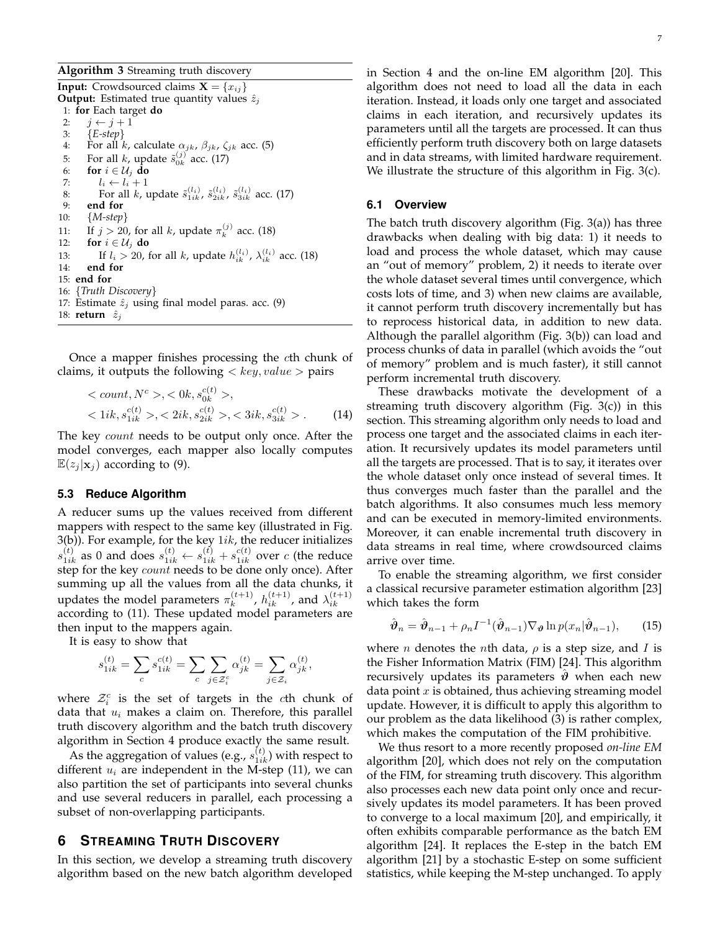#### **Algorithm 3** Streaming truth discovery

**Input:** Crowdsourced claims  $X = \{x_{ij}\}\$ **Output:** Estimated true quantity values  $\hat{z}_j$ 1: **for** Each target **do** 2:  $j \leftarrow j + 1$ 3: {*E-step*} 4: For all k, calculate  $\alpha_{jk}$ ,  $\beta_{jk}$ ,  $\zeta_{jk}$  acc. (5) 5: For all *k*, update  $\tilde{s}_{0k}^{(j)}$  acc. (17) 6: **for**  $i \in \mathcal{U}_j$  **do** 7:  $l_i \leftarrow l_i + 1$ 8: For all *k*, update  $\tilde{s}_{1ik}^{(l_i)}$ ,  $\tilde{s}_{2ik}^{(l_i)}$ ,  $\tilde{s}_{3ik}^{(l_i)}$  acc. (17) 9: **end for** 10: {*M-step*} 11: If  $j > 20$ , for all k, update  $\pi_k^{(j)}$  acc. (18) 12: **for**  $i \in \mathcal{U}_i$  **do** 13: If  $l_i > 20$ , for all k, update  $h_{ik}^{(l_i)}$ ,  $\lambda_{ik}^{(l_i)}$  acc. (18) 14: **end for** 15: **end for** 16: {*Truth Discovery*} 17: Estimate  $\hat{z}_j$  using final model paras. acc. (9) 18: **return**  $\hat{z}_j$ 

Once a mapper finishes processing the cth chunk of claims, it outputs the following  $\langle key, value \rangle$  pairs

$$
\langle \text{ count}, N^c \rangle, \langle 0k, s_{0k}^{c(t)} \rangle, \langle 1ik, s_{1ik}^{c(t)} \rangle, \langle 2ik, s_{2ik}^{c(t)} \rangle, \langle 3ik, s_{3ik}^{c(t)} \rangle. \tag{14}
$$

The key *count* needs to be output only once. After the model converges, each mapper also locally computes  $\mathbb{E}(z_j | \mathbf{x}_j)$  according to (9).

## **5.3 Reduce Algorithm**

A reducer sums up the values received from different mappers with respect to the same key (illustrated in Fig. 3(b)). For example, for the key  $1ik$ , the reducer initializes  $s_{1ik}^{(t)}$  as 0 and does  $s_{1ik}^{(t)} \leftarrow s_{1ik}^{(t)} + s_{1ik}^{c(t)}$  over c (the reduce step for the key *count* needs to be done only once). After summing up all the values from all the data chunks, it updates the model parameters  $\pi_k^{(t+1)}$ ,  $h_{ik}^{(t+1)}$ , and  $\lambda_{ik}^{(t+1)}$ according to (11). These updated model parameters are then input to the mappers again.

It is easy to show that

$$
s_{1ik}^{(t)} = \sum_{c} s_{1ik}^{c(t)} = \sum_{c} \sum_{j \in \mathcal{Z}_i^c} \alpha_{jk}^{(t)} = \sum_{j \in \mathcal{Z}_i} \alpha_{jk}^{(t)},
$$

where  $\mathcal{Z}_i^c$  is the set of targets in the cth chunk of data that  $u_i$  makes a claim on. Therefore, this parallel truth discovery algorithm and the batch truth discovery algorithm in Section 4 produce exactly the same result.

As the aggregation of values (e.g.,  $s_{1ik}^{(t)}$ ) with respect to different  $u_i$  are independent in the M-step (11), we can also partition the set of participants into several chunks and use several reducers in parallel, each processing a subset of non-overlapping participants.

# **6 STREAMING TRUTH DISCOVERY**

In this section, we develop a streaming truth discovery algorithm based on the new batch algorithm developed in Section 4 and the on-line EM algorithm [20]. This algorithm does not need to load all the data in each iteration. Instead, it loads only one target and associated claims in each iteration, and recursively updates its parameters until all the targets are processed. It can thus efficiently perform truth discovery both on large datasets and in data streams, with limited hardware requirement. We illustrate the structure of this algorithm in Fig. 3(c).

#### **6.1 Overview**

The batch truth discovery algorithm (Fig. 3(a)) has three drawbacks when dealing with big data: 1) it needs to load and process the whole dataset, which may cause an "out of memory" problem, 2) it needs to iterate over the whole dataset several times until convergence, which costs lots of time, and 3) when new claims are available, it cannot perform truth discovery incrementally but has to reprocess historical data, in addition to new data. Although the parallel algorithm (Fig. 3(b)) can load and process chunks of data in parallel (which avoids the "out of memory" problem and is much faster), it still cannot perform incremental truth discovery.

These drawbacks motivate the development of a streaming truth discovery algorithm (Fig. 3(c)) in this section. This streaming algorithm only needs to load and process one target and the associated claims in each iteration. It recursively updates its model parameters until all the targets are processed. That is to say, it iterates over the whole dataset only once instead of several times. It thus converges much faster than the parallel and the batch algorithms. It also consumes much less memory and can be executed in memory-limited environments. Moreover, it can enable incremental truth discovery in data streams in real time, where crowdsourced claims arrive over time.

To enable the streaming algorithm, we first consider a classical recursive parameter estimation algorithm [23] which takes the form

$$
\hat{\boldsymbol{\vartheta}}_n = \hat{\boldsymbol{\vartheta}}_{n-1} + \rho_n I^{-1} (\hat{\boldsymbol{\vartheta}}_{n-1}) \nabla_{\boldsymbol{\vartheta}} \ln p(x_n | \hat{\boldsymbol{\vartheta}}_{n-1}), \qquad (15)
$$

where *n* denotes the *n*th data,  $\rho$  is a step size, and *I* is the Fisher Information Matrix (FIM) [24]. This algorithm recursively updates its parameters  $\hat{\theta}$  when each new data point  $x$  is obtained, thus achieving streaming model update. However, it is difficult to apply this algorithm to our problem as the data likelihood (3) is rather complex, which makes the computation of the FIM prohibitive.

We thus resort to a more recently proposed *on-line EM* algorithm [20], which does not rely on the computation of the FIM, for streaming truth discovery. This algorithm also processes each new data point only once and recursively updates its model parameters. It has been proved to converge to a local maximum [20], and empirically, it often exhibits comparable performance as the batch EM algorithm [24]. It replaces the E-step in the batch EM algorithm [21] by a stochastic E-step on some sufficient statistics, while keeping the M-step unchanged. To apply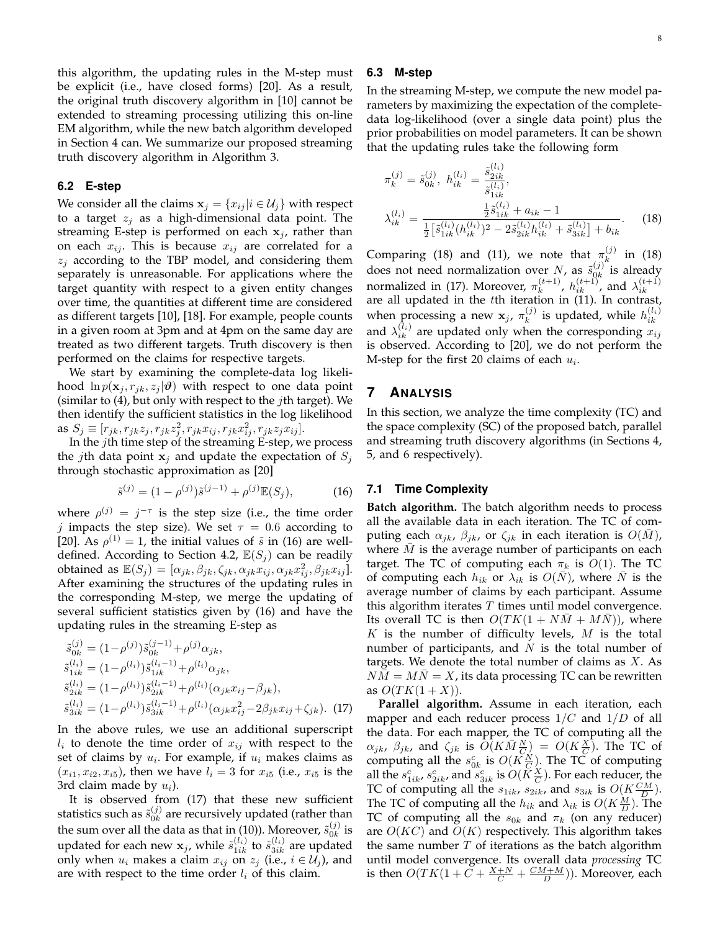this algorithm, the updating rules in the M-step must be explicit (i.e., have closed forms) [20]. As a result, the original truth discovery algorithm in [10] cannot be extended to streaming processing utilizing this on-line EM algorithm, while the new batch algorithm developed in Section 4 can. We summarize our proposed streaming truth discovery algorithm in Algorithm 3.

# **6.2 E-step**

We consider all the claims  $\mathbf{x}_j = \{x_{ij} | i \in \mathcal{U}_j\}$  with respect to a target  $z_j$  as a high-dimensional data point. The streaming E-step is performed on each  $x_j$ , rather than on each  $x_{ij}$ . This is because  $x_{ij}$  are correlated for a  $z_i$  according to the TBP model, and considering them separately is unreasonable. For applications where the target quantity with respect to a given entity changes over time, the quantities at different time are considered as different targets [10], [18]. For example, people counts in a given room at 3pm and at 4pm on the same day are treated as two different targets. Truth discovery is then performed on the claims for respective targets.

We start by examining the complete-data log likelihood  $\ln p(\mathbf{x}_j, r_{jk}, z_j | \boldsymbol{\vartheta})$  with respect to one data point (similar to  $(4)$ , but only with respect to the *j*th target). We then identify the sufficient statistics in the log likelihood as  $S_j \equiv [r_{jk}, r_{jk}z_j, r_{jk}z_j^2, r_{jk}x_{ij}, r_{jk}x_{ij}^2, r_{jk}z_jx_{ij}].$ 

In the jth time step of the streaming E-step, we process the *j*th data point  $x_j$  and update the expectation of  $S_j$ through stochastic approximation as [20]

$$
\tilde{s}^{(j)} = (1 - \rho^{(j)})\tilde{s}^{(j-1)} + \rho^{(j)}\mathbb{E}(S_j),\tag{16}
$$

where  $\rho^{(j)} = j^{-\tau}$  is the step size (i.e., the time order j impacts the step size). We set  $\tau = 0.6$  according to [20]. As  $\rho^{(1)} = 1$ , the initial values of  $\tilde{s}$  in (16) are welldefined. According to Section 4.2,  $\mathbb{E}(S_i)$  can be readily obtained as  $\mathbb{E}(S_j) = [\alpha_{jk}, \beta_{jk}, \zeta_{jk}, \alpha_{jk}x_{ij}, \alpha_{jk}x_{ij}^2, \beta_{jk}x_{ij}]$ . After examining the structures of the updating rules in the corresponding M-step, we merge the updating of several sufficient statistics given by (16) and have the updating rules in the streaming E-step as

$$
\tilde{s}_{0k}^{(j)} = (1 - \rho^{(j)}) \tilde{s}_{0k}^{(j-1)} + \rho^{(j)} \alpha_{jk},
$$
\n
$$
\tilde{s}_{1ik}^{(l_i)} = (1 - \rho^{(l_i)}) \tilde{s}_{1ik}^{(l_i-1)} + \rho^{(l_i)} \alpha_{jk},
$$
\n
$$
\tilde{s}_{2ik}^{(l_i)} = (1 - \rho^{(l_i)}) \tilde{s}_{2ik}^{(l_i-1)} + \rho^{(l_i)} (\alpha_{jk} x_{ij} - \beta_{jk}),
$$
\n
$$
\tilde{s}_{3ik}^{(l_i)} = (1 - \rho^{(l_i)}) \tilde{s}_{3ik}^{(l_i-1)} + \rho^{(l_i)} (\alpha_{jk} x_{ij}^2 - 2\beta_{jk} x_{ij} + \zeta_{jk}).
$$
\n(17)

In the above rules, we use an additional superscript  $l_i$  to denote the time order of  $x_{ij}$  with respect to the set of claims by  $u_i$ . For example, if  $u_i$  makes claims as  $(x_{i1}, x_{i2}, x_{i5})$ , then we have  $l_i = 3$  for  $x_{i5}$  (i.e.,  $x_{i5}$  is the 3rd claim made by  $u_i$ ).

It is observed from (17) that these new sufficient statistics such as  $\tilde{s}_{0k}^{(j)}$  are recursively updated (rather than the sum over all the data as that in (10)). Moreover,  $\tilde{s}_{0k}^{(j)}$  is updated for each new  $x_j$ , while  $\tilde{s}_{1ik}^{(l_i)}$  to  $\tilde{s}_{3ik}^{(l_i)}$  are updated only when  $u_i$  makes a claim  $x_{ij}$  on  $z_j$  (i.e.,  $i \in \mathcal{U}_j$ ), and are with respect to the time order  $l_i$  of this claim.

#### **6.3 M-step**

In the streaming M-step, we compute the new model parameters by maximizing the expectation of the completedata log-likelihood (over a single data point) plus the prior probabilities on model parameters. It can be shown that the updating rules take the following form

 $\lambda$ 

$$
\pi_k^{(j)} = \tilde{s}_{0k}^{(j)}, \ h_{ik}^{(l_i)} = \frac{\tilde{s}_{2ik}^{(l_i)}}{\tilde{s}_{1ik}^{(l_i)}},
$$

$$
\lambda_{ik}^{(l_i)} = \frac{\frac{1}{2}\tilde{s}_{1ik}^{(l_i)} + a_{ik} - 1}{\frac{1}{2}[\tilde{s}_{1ik}^{(l_i)}(h_{ik}^{(l_i)})^2 - 2\tilde{s}_{2ik}^{(l_i)}h_{ik}^{(l_i)} + \tilde{s}_{3ik}^{(l_i)}] + b_{ik}}.
$$
(18)

Comparing (18) and (11), we note that  $\pi_k^{(j)}$  in (18) does not need normalization over N, as  $\tilde{s}_{0k}^{(j)}$  is already normalized in (17). Moreover,  $\pi_k^{(t+1)}$ ,  $h_{ik}^{(t+1)}$ , and  $\lambda_{ik}^{(t+1)}$ are all updated in the tth iteration in (11). In contrast, when processing a new  $x_j$ ,  $\pi_k^{(j)}$  is updated, while  $h_{ik}^{(l_i)}$ and  $\lambda_{ik}^{(l_i)}$  are updated only when the corresponding  $x_{ij}$ is observed. According to [20], we do not perform the M-step for the first 20 claims of each  $u_i$ .

# **7 ANALYSIS**

In this section, we analyze the time complexity (TC) and the space complexity (SC) of the proposed batch, parallel and streaming truth discovery algorithms (in Sections 4, 5, and 6 respectively).

# **7.1 Time Complexity**

**Batch algorithm.** The batch algorithm needs to process all the available data in each iteration. The TC of computing each  $\alpha_{jk}$ ,  $\beta_{jk}$ , or  $\zeta_{jk}$  in each iteration is  $O(M)$ , where  $\overline{M}$  is the average number of participants on each target. The TC of computing each  $\pi_k$  is  $O(1)$ . The TC of computing each  $h_{ik}$  or  $\lambda_{ik}$  is  $O(\bar{N})$ , where  $\bar{N}$  is the average number of claims by each participant. Assume this algorithm iterates  $T$  times until model convergence. Its overall TC is then  $O(TK(1 + NM + MN))$ , where  $K$  is the number of difficulty levels,  $M$  is the total number of participants, and  $N$  is the total number of targets. We denote the total number of claims as  $X$ . As  $NM = MN = X$ , its data processing TC can be rewritten as  $O(TK(1+X)).$ 

**Parallel algorithm.** Assume in each iteration, each mapper and each reducer process  $1/C$  and  $1/D$  of all the data. For each mapper, the TC of computing all the  $\alpha_{jk}$ ,  $\beta_{jk}$ , and  $\zeta_{jk}$  is  $\widetilde{O}(K\bar{M}\frac{N}{C}) = O(K\frac{X}{C})$ . The TC of computing all the  $s_{0k}^c$  is  $O(K_{\overline{C}}^N)$ . The TC of computing all the  $s_{1ik}^c$ ,  $s_{2ik}^c$ , and  $s_{3ik}^c$  is  $O(K\frac{X}{C})$ . For each reducer, the TC of computing all the  $s_{1ik}$ ,  $s_{2ik}$ , and  $s_{3ik}$  is  $O(K \frac{CM}{D})$ . The TC of computing all the  $h_{ik}$  and  $\lambda_{ik}$  is  $O(K \frac{M}{D})$ . The TC of computing all the  $s_{0k}$  and  $\pi_k$  (on any reducer) are  $O(KC)$  and  $O(K)$  respectively. This algorithm takes the same number  $T$  of iterations as the batch algorithm until model convergence. Its overall data *processing* TC is then  $O(TK(1 + C + \frac{X+N}{C} + \frac{CM+M}{D}))$ . Moreover, each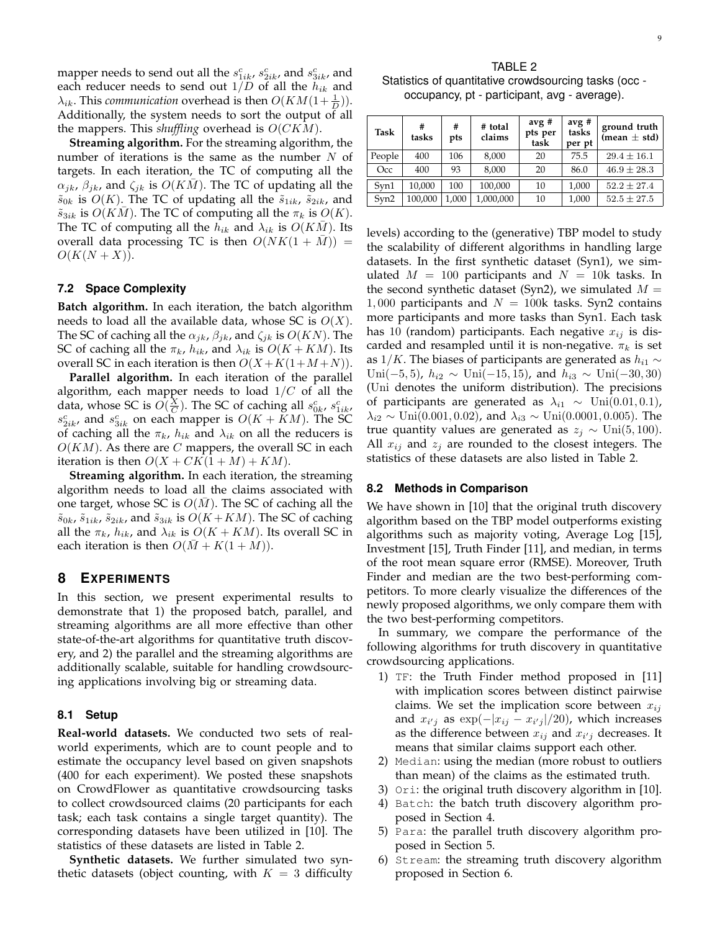mapper needs to send out all the  $s_{1ik}^c$ ,  $s_{2ik}^c$ , and  $s_{3ik}^c$ , and each reducer needs to send out  $1/D$  of all the  $h_{ik}$  and  $\lambda_{ik}$ . This *communication* overhead is then  $O(KM(1+\frac{1}{D}))$ . Additionally, the system needs to sort the output of all the mappers. This *shuffling* overhead is  $O(CKM)$ .

**Streaming algorithm.** For the streaming algorithm, the number of iterations is the same as the number  $N$  of targets. In each iteration, the TC of computing all the  $\alpha_{jk}$ ,  $\beta_{jk}$ , and  $\zeta_{jk}$  is  $O(KM)$ . The TC of updating all the  $\tilde{s}_{0k}$  is  $O(K)$ . The TC of updating all the  $\tilde{s}_{1ik}$ ,  $\tilde{s}_{2ik}$ , and  $\tilde{s}_{3ik}$  is  $O(KM)$ . The TC of computing all the  $\pi_k$  is  $O(K)$ . The TC of computing all the  $h_{ik}$  and  $\lambda_{ik}$  is  $O(K\bar{M})$ . Its overall data processing TC is then  $O(NK(1 + M))$  =  $O(K(N+X)).$ 

## **7.2 Space Complexity**

**Batch algorithm.** In each iteration, the batch algorithm needs to load all the available data, whose SC is  $O(X)$ . The SC of caching all the  $\alpha_{jk}$ ,  $\beta_{jk}$ , and  $\zeta_{jk}$  is  $O(KN)$ . The SC of caching all the  $\pi_k$ ,  $h_{ik}$ , and  $\lambda_{ik}$  is  $O(K + KM)$ . Its overall SC in each iteration is then  $O(X + K(1 + M + N))$ .

**Parallel algorithm.** In each iteration of the parallel algorithm, each mapper needs to load  $1/C$  of all the data, whose SC is  $O(\frac{X}{C})$ . The SC of caching all  $s_{0k}^c$ ,  $s_{1ik}^c$ ,  $s_{2ik}^c$ , and  $s_{3ik}^c$  on each mapper is  $O(K+KM)$ . The SC of caching all the  $\pi_k$ ,  $h_{ik}$  and  $\lambda_{ik}$  on all the reducers is  $O(KM)$ . As there are C mappers, the overall SC in each iteration is then  $O(X + CK(1 + M) + KM)$ .

**Streaming algorithm.** In each iteration, the streaming algorithm needs to load all the claims associated with one target, whose SC is  $O(M)$ . The SC of caching all the  $\tilde{s}_{0k}$ ,  $\tilde{s}_{1ik}$ ,  $\tilde{s}_{2ik}$ , and  $\tilde{s}_{3ik}$  is  $O(K+KM)$ . The SC of caching all the  $\pi_k$ ,  $h_{ik}$ , and  $\lambda_{ik}$  is  $O(K+KM)$ . Its overall SC in each iteration is then  $O(M + K(1 + M))$ .

# **8 EXPERIMENTS**

In this section, we present experimental results to demonstrate that 1) the proposed batch, parallel, and streaming algorithms are all more effective than other state-of-the-art algorithms for quantitative truth discovery, and 2) the parallel and the streaming algorithms are additionally scalable, suitable for handling crowdsourcing applications involving big or streaming data.

# **8.1 Setup**

**Real-world datasets.** We conducted two sets of realworld experiments, which are to count people and to estimate the occupancy level based on given snapshots (400 for each experiment). We posted these snapshots on CrowdFlower as quantitative crowdsourcing tasks to collect crowdsourced claims (20 participants for each task; each task contains a single target quantity). The corresponding datasets have been utilized in [10]. The statistics of these datasets are listed in Table 2.

**Synthetic datasets.** We further simulated two synthetic datasets (object counting, with  $K = 3$  difficulty

TABLE 2 Statistics of quantitative crowdsourcing tasks (occ occupancy, pt - participant, avg - average).

| Task   | #<br>tasks | #<br>pts | # total<br>claims | avg#<br>pts per<br>task | avg#<br>tasks<br>per pt | ground truth<br>(mean $\pm$ std) |
|--------|------------|----------|-------------------|-------------------------|-------------------------|----------------------------------|
| People | 400        | 106      | 8,000             | 20                      | 75.5                    | $29.4 \pm 16.1$                  |
| Occ    | 400        | 93       | 8,000             | 20                      | 86.0                    | $46.9 \pm 28.3$                  |
| Syn1   | 10,000     | 100      | 100,000           | 10                      | 1,000                   | $52.2 + 27.4$                    |
| Syn2   | 100,000    | 1,000    | 1,000,000         | 10                      | 1,000                   | $52.5 \pm 27.5$                  |

levels) according to the (generative) TBP model to study the scalability of different algorithms in handling large datasets. In the first synthetic dataset (Syn1), we simulated  $M = 100$  participants and  $N = 10k$  tasks. In the second synthetic dataset (Syn2), we simulated  $M =$ 1,000 participants and  $N = 100k$  tasks. Syn2 contains more participants and more tasks than Syn1. Each task has 10 (random) participants. Each negative  $x_{ij}$  is discarded and resampled until it is non-negative.  $\pi_k$  is set as 1/K. The biases of participants are generated as  $h_{i1} \sim$ Uni(−5, 5),  $h_{i2} \sim$  Uni(−15, 15), and  $h_{i3} \sim$  Uni(−30, 30) (Uni denotes the uniform distribution). The precisions of participants are generated as  $\lambda_{i1} \sim \text{Uni}(0.01, 0.1)$ ,  $\lambda_{i2} \sim \text{Uni}(0.001, 0.02)$ , and  $\lambda_{i3} \sim \text{Uni}(0.0001, 0.005)$ . The true quantity values are generated as  $z_j \sim \text{Uni}(5, 100)$ . All  $x_{ij}$  and  $z_j$  are rounded to the closest integers. The statistics of these datasets are also listed in Table 2.

# **8.2 Methods in Comparison**

We have shown in [10] that the original truth discovery algorithm based on the TBP model outperforms existing algorithms such as majority voting, Average Log [15], Investment [15], Truth Finder [11], and median, in terms of the root mean square error (RMSE). Moreover, Truth Finder and median are the two best-performing competitors. To more clearly visualize the differences of the newly proposed algorithms, we only compare them with the two best-performing competitors.

In summary, we compare the performance of the following algorithms for truth discovery in quantitative crowdsourcing applications.

- 1) TF: the Truth Finder method proposed in [11] with implication scores between distinct pairwise claims. We set the implication score between  $x_{ij}$ and  $x_{i'j}$  as  $\exp(-|x_{ij} - x_{i'j}|/20)$ , which increases as the difference between  $x_{ij}$  and  $x_{i'j}$  decreases. It means that similar claims support each other.
- 2) Median: using the median (more robust to outliers than mean) of the claims as the estimated truth.
- 3) Ori: the original truth discovery algorithm in [10].
- 4) Batch: the batch truth discovery algorithm proposed in Section 4.
- 5) Para: the parallel truth discovery algorithm proposed in Section 5.
- 6) Stream: the streaming truth discovery algorithm proposed in Section 6.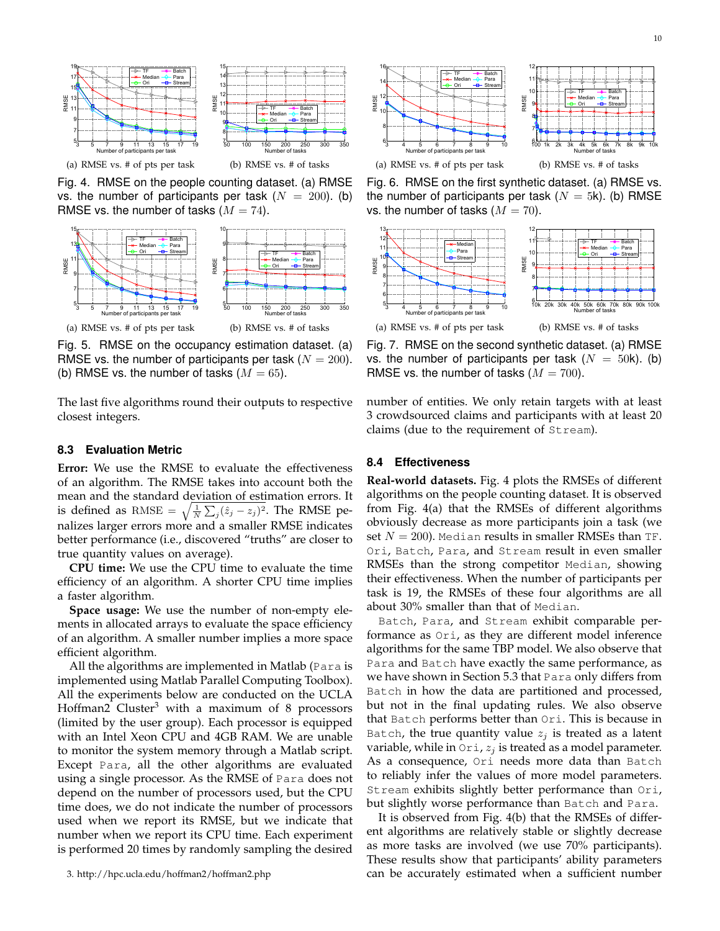

Fig. 4. RMSE on the people counting dataset. (a) RMSE vs. the number of participants per task  $(N = 200)$ . (b) RMSE vs. the number of tasks  $(M = 74)$ .



Fig. 5. RMSE on the occupancy estimation dataset. (a) RMSE vs. the number of participants per task ( $N = 200$ ). (b) RMSE vs. the number of tasks  $(M = 65)$ .

The last five algorithms round their outputs to respective closest integers.

## **8.3 Evaluation Metric**

**Error:** We use the RMSE to evaluate the effectiveness of an algorithm. The RMSE takes into account both the mean and the standard deviation of estimation errors. It is defined as RMSE =  $\sqrt{\frac{1}{N}\sum_j(\hat{z}_j - z_j)^2}$ . The RMSE penalizes larger errors more and a smaller RMSE indicates better performance (i.e., discovered "truths" are closer to true quantity values on average).

**CPU time:** We use the CPU time to evaluate the time efficiency of an algorithm. A shorter CPU time implies a faster algorithm.

**Space usage:** We use the number of non-empty elements in allocated arrays to evaluate the space efficiency of an algorithm. A smaller number implies a more space efficient algorithm.

All the algorithms are implemented in Matlab (Para is implemented using Matlab Parallel Computing Toolbox). All the experiments below are conducted on the UCLA Hoffman2 Cluster<sup>3</sup> with a maximum of 8 processors (limited by the user group). Each processor is equipped with an Intel Xeon CPU and 4GB RAM. We are unable to monitor the system memory through a Matlab script. Except Para, all the other algorithms are evaluated using a single processor. As the RMSE of Para does not depend on the number of processors used, but the CPU time does, we do not indicate the number of processors used when we report its RMSE, but we indicate that number when we report its CPU time. Each experiment is performed 20 times by randomly sampling the desired



Fig. 6. RMSE on the first synthetic dataset. (a) RMSE vs. the number of participants per task ( $N = 5k$ ). (b) RMSE vs. the number of tasks  $(M = 70)$ .



Fig. 7. RMSE on the second synthetic dataset. (a) RMSE vs. the number of participants per task ( $N = 50k$ ). (b) RMSE vs. the number of tasks  $(M = 700)$ .

number of entities. We only retain targets with at least 3 crowdsourced claims and participants with at least 20 claims (due to the requirement of  $strean$ ).

## **8.4 Effectiveness**

**Real-world datasets.** Fig. 4 plots the RMSEs of different algorithms on the people counting dataset. It is observed from Fig. 4(a) that the RMSEs of different algorithms obviously decrease as more participants join a task (we set  $N = 200$ ). Median results in smaller RMSEs than TF. Ori, Batch, Para, and Stream result in even smaller RMSEs than the strong competitor Median, showing their effectiveness. When the number of participants per task is 19, the RMSEs of these four algorithms are all about 30% smaller than that of Median.

Batch, Para, and Stream exhibit comparable performance as Ori, as they are different model inference algorithms for the same TBP model. We also observe that Para and Batch have exactly the same performance, as we have shown in Section 5.3 that Para only differs from Batch in how the data are partitioned and processed, but not in the final updating rules. We also observe that Batch performs better than Ori. This is because in Batch, the true quantity value  $z_i$  is treated as a latent variable, while in  $Ori, z_i$  is treated as a model parameter. As a consequence, Ori needs more data than Batch to reliably infer the values of more model parameters. Stream exhibits slightly better performance than Ori, but slightly worse performance than Batch and Para.

It is observed from Fig. 4(b) that the RMSEs of different algorithms are relatively stable or slightly decrease as more tasks are involved (we use 70% participants). These results show that participants' ability parameters can be accurately estimated when a sufficient number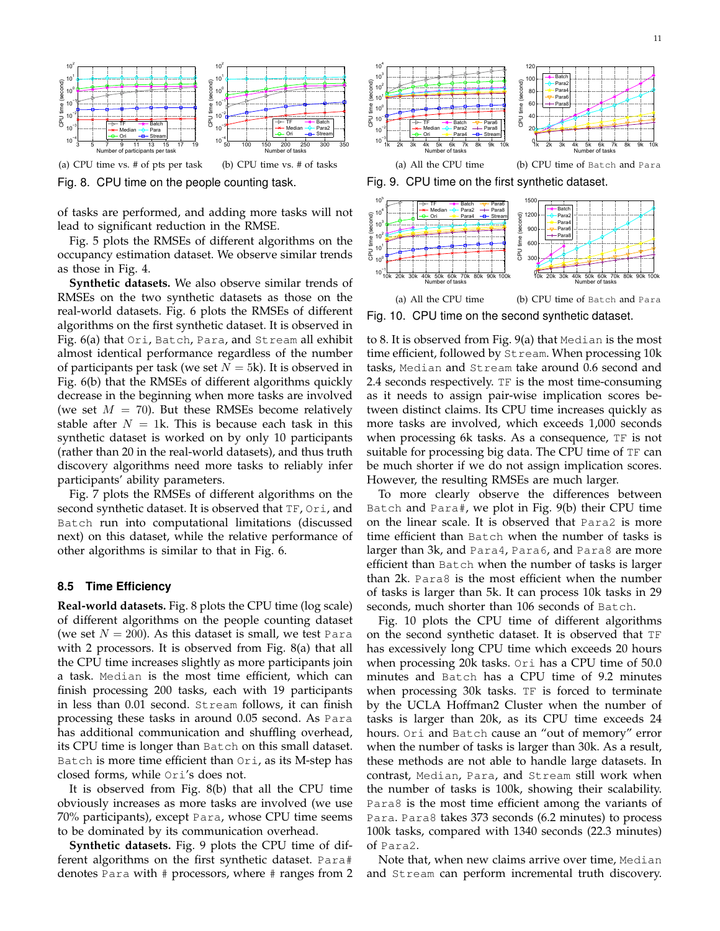

(a) CPU time vs. # of pts per task (b) CPU time vs. # of tasks Fig. 8. CPU time on the people counting task.

of tasks are performed, and adding more tasks will not lead to significant reduction in the RMSE.

Fig. 5 plots the RMSEs of different algorithms on the occupancy estimation dataset. We observe similar trends as those in Fig. 4.

**Synthetic datasets.** We also observe similar trends of RMSEs on the two synthetic datasets as those on the real-world datasets. Fig. 6 plots the RMSEs of different algorithms on the first synthetic dataset. It is observed in Fig. 6(a) that Ori, Batch, Para, and Stream all exhibit almost identical performance regardless of the number of participants per task (we set  $N = 5k$ ). It is observed in Fig. 6(b) that the RMSEs of different algorithms quickly decrease in the beginning when more tasks are involved (we set  $M = 70$ ). But these RMSEs become relatively stable after  $N = 1k$ . This is because each task in this synthetic dataset is worked on by only 10 participants (rather than 20 in the real-world datasets), and thus truth discovery algorithms need more tasks to reliably infer participants' ability parameters.

Fig. 7 plots the RMSEs of different algorithms on the second synthetic dataset. It is observed that TF, Ori, and Batch run into computational limitations (discussed next) on this dataset, while the relative performance of other algorithms is similar to that in Fig. 6.

#### **8.5 Time Efficiency**

**Real-world datasets.** Fig. 8 plots the CPU time (log scale) of different algorithms on the people counting dataset (we set  $N = 200$ ). As this dataset is small, we test Para with 2 processors. It is observed from Fig. 8(a) that all the CPU time increases slightly as more participants join a task. Median is the most time efficient, which can finish processing 200 tasks, each with 19 participants in less than 0.01 second. Stream follows, it can finish processing these tasks in around 0.05 second. As Para has additional communication and shuffling overhead, its CPU time is longer than Batch on this small dataset. Batch is more time efficient than  $Ori$ , as its M-step has closed forms, while Ori's does not.

It is observed from Fig. 8(b) that all the CPU time obviously increases as more tasks are involved (we use 70% participants), except Para, whose CPU time seems to be dominated by its communication overhead.

**Synthetic datasets.** Fig. 9 plots the CPU time of different algorithms on the first synthetic dataset. Para# denotes Para with # processors, where # ranges from 2



Fig. 9. CPU time on the first synthetic dataset.



(a) All the CPU time (b) CPU time of Batch and Para Fig. 10. CPU time on the second synthetic dataset.

to 8. It is observed from Fig. 9(a) that Median is the most time efficient, followed by Stream. When processing 10k tasks, Median and Stream take around 0.6 second and 2.4 seconds respectively. TF is the most time-consuming as it needs to assign pair-wise implication scores between distinct claims. Its CPU time increases quickly as more tasks are involved, which exceeds 1,000 seconds when processing 6k tasks. As a consequence, TF is not suitable for processing big data. The CPU time of TF can be much shorter if we do not assign implication scores. However, the resulting RMSEs are much larger.

To more clearly observe the differences between Batch and Para#, we plot in Fig. 9(b) their CPU time on the linear scale. It is observed that Para2 is more time efficient than Batch when the number of tasks is larger than 3k, and Para4, Para6, and Para8 are more efficient than Batch when the number of tasks is larger than 2k. Para8 is the most efficient when the number of tasks is larger than 5k. It can process 10k tasks in 29 seconds, much shorter than 106 seconds of Batch.

Fig. 10 plots the CPU time of different algorithms on the second synthetic dataset. It is observed that TF has excessively long CPU time which exceeds 20 hours when processing 20k tasks. Ori has a CPU time of 50.0 minutes and Batch has a CPU time of 9.2 minutes when processing 30k tasks. TF is forced to terminate by the UCLA Hoffman2 Cluster when the number of tasks is larger than 20k, as its CPU time exceeds 24 hours. Ori and Batch cause an "out of memory" error when the number of tasks is larger than 30k. As a result, these methods are not able to handle large datasets. In contrast, Median, Para, and Stream still work when the number of tasks is 100k, showing their scalability. Para8 is the most time efficient among the variants of Para. Para8 takes 373 seconds (6.2 minutes) to process 100k tasks, compared with 1340 seconds (22.3 minutes) of Para2.

Note that, when new claims arrive over time, Median and Stream can perform incremental truth discovery.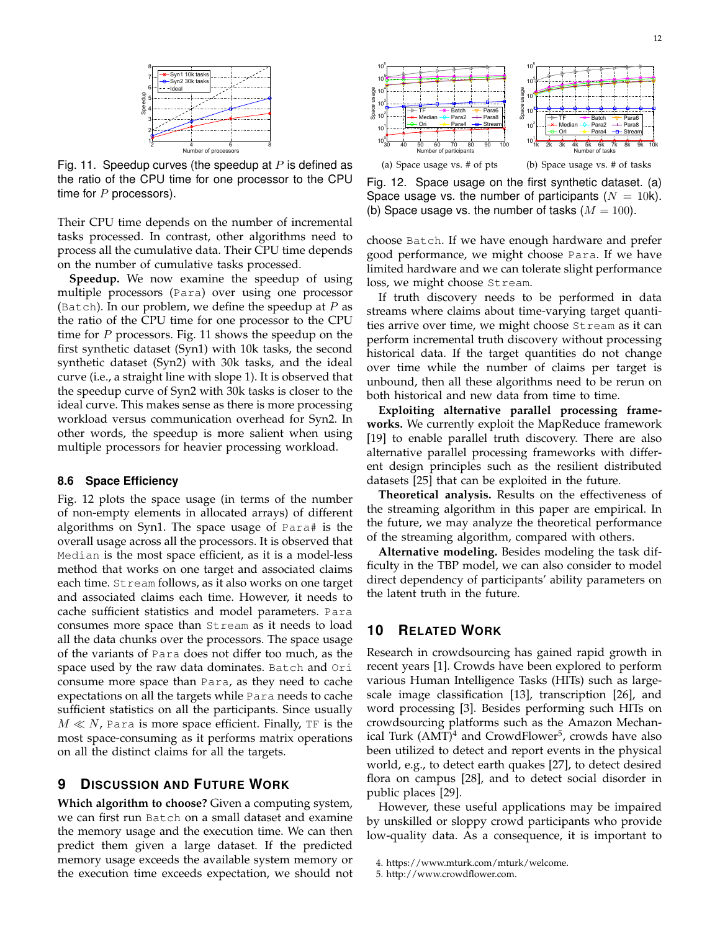

Fig. 11. Speedup curves (the speedup at  $P$  is defined as the ratio of the CPU time for one processor to the CPU time for  $P$  processors).

Their CPU time depends on the number of incremental tasks processed. In contrast, other algorithms need to process all the cumulative data. Their CPU time depends on the number of cumulative tasks processed.

**Speedup.** We now examine the speedup of using multiple processors (Para) over using one processor (Batch). In our problem, we define the speedup at  $P$  as the ratio of the CPU time for one processor to the CPU time for  $P$  processors. Fig. 11 shows the speedup on the first synthetic dataset (Syn1) with 10k tasks, the second synthetic dataset (Syn2) with 30k tasks, and the ideal curve (i.e., a straight line with slope 1). It is observed that the speedup curve of Syn2 with 30k tasks is closer to the ideal curve. This makes sense as there is more processing workload versus communication overhead for Syn2. In other words, the speedup is more salient when using multiple processors for heavier processing workload.

## **8.6 Space Efficiency**

Fig. 12 plots the space usage (in terms of the number of non-empty elements in allocated arrays) of different algorithms on Syn1. The space usage of Para# is the overall usage across all the processors. It is observed that Median is the most space efficient, as it is a model-less method that works on one target and associated claims each time. Stream follows, as it also works on one target and associated claims each time. However, it needs to cache sufficient statistics and model parameters. Para consumes more space than Stream as it needs to load all the data chunks over the processors. The space usage of the variants of Para does not differ too much, as the space used by the raw data dominates. Batch and Ori consume more space than Para, as they need to cache expectations on all the targets while Para needs to cache sufficient statistics on all the participants. Since usually  $M \ll N$ , Para is more space efficient. Finally, TF is the most space-consuming as it performs matrix operations on all the distinct claims for all the targets.

# **9 DISCUSSION AND FUTURE WORK**

**Which algorithm to choose?** Given a computing system, we can first run Batch on a small dataset and examine the memory usage and the execution time. We can then predict them given a large dataset. If the predicted memory usage exceeds the available system memory or the execution time exceeds expectation, we should not



Fig. 12. Space usage on the first synthetic dataset. (a) Space usage vs. the number of participants ( $N = 10k$ ). (b) Space usage vs. the number of tasks  $(M = 100)$ .

choose Batch. If we have enough hardware and prefer good performance, we might choose Para. If we have limited hardware and we can tolerate slight performance loss, we might choose Stream.

If truth discovery needs to be performed in data streams where claims about time-varying target quantities arrive over time, we might choose Stream as it can perform incremental truth discovery without processing historical data. If the target quantities do not change over time while the number of claims per target is unbound, then all these algorithms need to be rerun on both historical and new data from time to time.

**Exploiting alternative parallel processing frameworks.** We currently exploit the MapReduce framework [19] to enable parallel truth discovery. There are also alternative parallel processing frameworks with different design principles such as the resilient distributed datasets [25] that can be exploited in the future.

**Theoretical analysis.** Results on the effectiveness of the streaming algorithm in this paper are empirical. In the future, we may analyze the theoretical performance of the streaming algorithm, compared with others.

**Alternative modeling.** Besides modeling the task difficulty in the TBP model, we can also consider to model direct dependency of participants' ability parameters on the latent truth in the future.

# **10 RELATED WORK**

Research in crowdsourcing has gained rapid growth in recent years [1]. Crowds have been explored to perform various Human Intelligence Tasks (HITs) such as largescale image classification [13], transcription [26], and word processing [3]. Besides performing such HITs on crowdsourcing platforms such as the Amazon Mechanical Turk  $(AMT)^4$  and CrowdFlower<sup>5</sup>, crowds have also been utilized to detect and report events in the physical world, e.g., to detect earth quakes [27], to detect desired flora on campus [28], and to detect social disorder in public places [29].

However, these useful applications may be impaired by unskilled or sloppy crowd participants who provide low-quality data. As a consequence, it is important to

<sup>4.</sup> https://www.mturk.com/mturk/welcome.

<sup>5.</sup> http://www.crowdflower.com.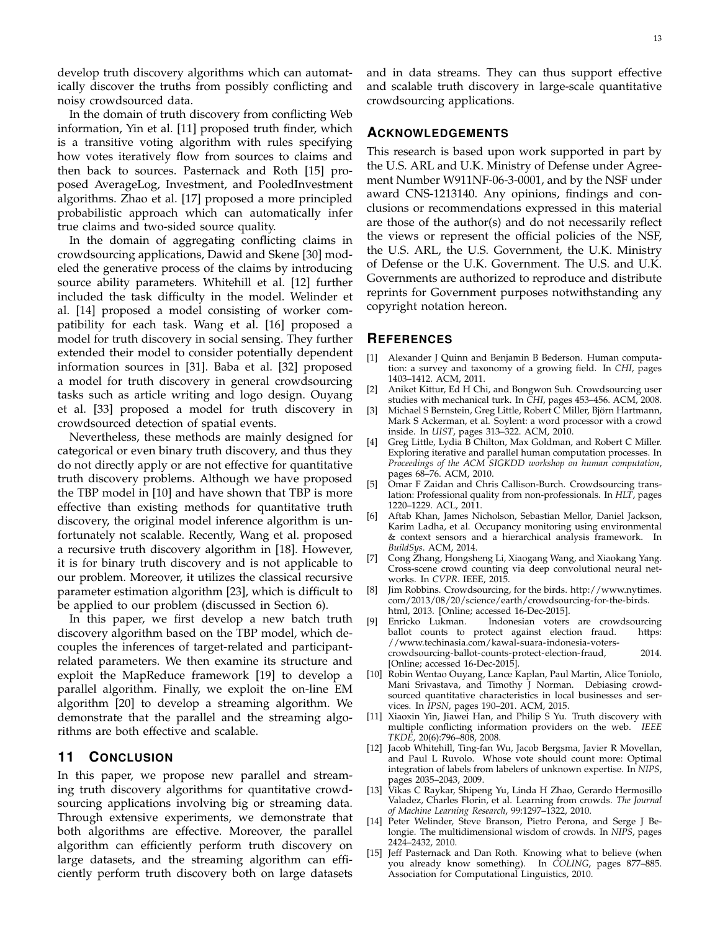develop truth discovery algorithms which can automatically discover the truths from possibly conflicting and noisy crowdsourced data.

In the domain of truth discovery from conflicting Web information, Yin et al. [11] proposed truth finder, which is a transitive voting algorithm with rules specifying how votes iteratively flow from sources to claims and then back to sources. Pasternack and Roth [15] proposed AverageLog, Investment, and PooledInvestment algorithms. Zhao et al. [17] proposed a more principled probabilistic approach which can automatically infer true claims and two-sided source quality.

In the domain of aggregating conflicting claims in crowdsourcing applications, Dawid and Skene [30] modeled the generative process of the claims by introducing source ability parameters. Whitehill et al. [12] further included the task difficulty in the model. Welinder et al. [14] proposed a model consisting of worker compatibility for each task. Wang et al. [16] proposed a model for truth discovery in social sensing. They further extended their model to consider potentially dependent information sources in [31]. Baba et al. [32] proposed a model for truth discovery in general crowdsourcing tasks such as article writing and logo design. Ouyang et al. [33] proposed a model for truth discovery in crowdsourced detection of spatial events.

Nevertheless, these methods are mainly designed for categorical or even binary truth discovery, and thus they do not directly apply or are not effective for quantitative truth discovery problems. Although we have proposed the TBP model in [10] and have shown that TBP is more effective than existing methods for quantitative truth discovery, the original model inference algorithm is unfortunately not scalable. Recently, Wang et al. proposed a recursive truth discovery algorithm in [18]. However, it is for binary truth discovery and is not applicable to our problem. Moreover, it utilizes the classical recursive parameter estimation algorithm [23], which is difficult to be applied to our problem (discussed in Section 6).

In this paper, we first develop a new batch truth discovery algorithm based on the TBP model, which decouples the inferences of target-related and participantrelated parameters. We then examine its structure and exploit the MapReduce framework [19] to develop a parallel algorithm. Finally, we exploit the on-line EM algorithm [20] to develop a streaming algorithm. We demonstrate that the parallel and the streaming algorithms are both effective and scalable.

# **11 CONCLUSION**

In this paper, we propose new parallel and streaming truth discovery algorithms for quantitative crowdsourcing applications involving big or streaming data. Through extensive experiments, we demonstrate that both algorithms are effective. Moreover, the parallel algorithm can efficiently perform truth discovery on large datasets, and the streaming algorithm can efficiently perform truth discovery both on large datasets

and in data streams. They can thus support effective and scalable truth discovery in large-scale quantitative crowdsourcing applications.

# **ACKNOWLEDGEMENTS**

This research is based upon work supported in part by the U.S. ARL and U.K. Ministry of Defense under Agreement Number W911NF-06-3-0001, and by the NSF under award CNS-1213140. Any opinions, findings and conclusions or recommendations expressed in this material are those of the author(s) and do not necessarily reflect the views or represent the official policies of the NSF, the U.S. ARL, the U.S. Government, the U.K. Ministry of Defense or the U.K. Government. The U.S. and U.K. Governments are authorized to reproduce and distribute reprints for Government purposes notwithstanding any copyright notation hereon.

# **REFERENCES**

- [1] Alexander J Quinn and Benjamin B Bederson. Human computation: a survey and taxonomy of a growing field. In *CHI*, pages 1403–1412. ACM, 2011.
- [2] Aniket Kittur, Ed H Chi, and Bongwon Suh. Crowdsourcing user studies with mechanical turk. In *CHI*, pages 453–456. ACM, 2008.
- [3] Michael S Bernstein, Greg Little, Robert C Miller, Björn Hartmann, Mark S Ackerman, et al. Soylent: a word processor with a crowd inside. In *UIST*, pages 313–322. ACM, 2010.
- [4] Greg Little, Lydia B Chilton, Max Goldman, and Robert C Miller. Exploring iterative and parallel human computation processes. In *Proceedings of the ACM SIGKDD workshop on human computation*, pages 68–76. ACM, 2010.
- [5] Omar F Zaidan and Chris Callison-Burch. Crowdsourcing translation: Professional quality from non-professionals. In *HLT*, pages 1220–1229. ACL, 2011.
- [6] Aftab Khan, James Nicholson, Sebastian Mellor, Daniel Jackson, Karim Ladha, et al. Occupancy monitoring using environmental & context sensors and a hierarchical analysis framework. In *BuildSys*. ACM, 2014.
- [7] Cong Zhang, Hongsheng Li, Xiaogang Wang, and Xiaokang Yang. Cross-scene crowd counting via deep convolutional neural networks. In *CVPR*. IEEE, 2015.
- [8] Jim Robbins. Crowdsourcing, for the birds. http://www.nytimes. com/2013/08/20/science/earth/crowdsourcing-for-the-birds. html, 2013. [Online; accessed 16-Dec-2015].<br>Enricko Lukman. Indonesian voters
- [9] Enricko Lukman. Indonesian voters are crowdsourcing ballot counts to protect against election fraud. //www.techinasia.com/kawal-suara-indonesia-voterscrowdsourcing-ballot-counts-protect-election-fraud, 2014. [Online; accessed 16-Dec-2015].
- [10] Robin Wentao Ouyang, Lance Kaplan, Paul Martin, Alice Toniolo, Mani Srivastava, and Timothy J Norman. Debiasing crowdsourced quantitative characteristics in local businesses and services. In *IPSN*, pages 190–201. ACM, 2015.
- [11] Xiaoxin Yin, Jiawei Han, and Philip S Yu. Truth discovery with multiple conflicting information providers on the web. *IEEE TKDE*, 20(6):796–808, 2008.
- [12] Jacob Whitehill, Ting-fan Wu, Jacob Bergsma, Javier R Movellan, and Paul L Ruvolo. Whose vote should count more: Optimal integration of labels from labelers of unknown expertise. In *NIPS*, pages 2035–2043, 2009.
- [13] Vikas C Raykar, Shipeng Yu, Linda H Zhao, Gerardo Hermosillo Valadez, Charles Florin, et al. Learning from crowds. *The Journal of Machine Learning Research*, 99:1297–1322, 2010.
- [14] Peter Welinder, Steve Branson, Pietro Perona, and Serge J Belongie. The multidimensional wisdom of crowds. In *NIPS*, pages 2424–2432, 2010.
- [15] Jeff Pasternack and Dan Roth. Knowing what to believe (when you already know something). In *COLING*, pages 877–885. Association for Computational Linguistics, 2010.